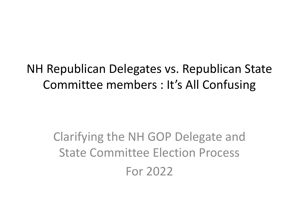NH Republican Delegates vs. Republican State Committee members : It's All Confusing

> Clarifying the NH GOP Delegate and State Committee Election Process For 2022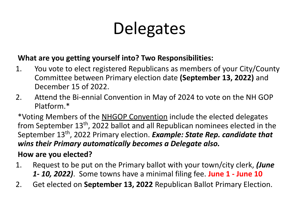# **Delegates**

#### **What are you getting yourself into? Two Responsibilities:**

- 1. You vote to elect registered Republicans as members of your City/County Committee between Primary election date **(September 13, 2022)** and December 15 of 2022.
- 2. Attend the Bi-ennial Convention in May of 2024 to vote on the NH GOP Platform.\*

\*Voting Members of the NHGOP Convention include the elected delegates from September 13<sup>th</sup>, 2022 ballot and all Republican nominees elected in the September 13<sup>th</sup>, 2022 Primary election. *Example: State Rep. candidate that wins their Primary automatically becomes a Delegate also.*

#### **How are you elected?**

- 1. Request to be put on the Primary ballot with your town/city clerk, *(June 1- 10, 2022)*. Some towns have a minimal filing fee. **June 1 - June 10**
- 2. Get elected on **September 13, 2022** Republican Ballot Primary Election.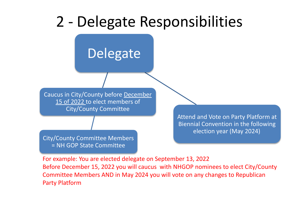#### 2 - Delegate Responsibilities



For example: You are elected delegate on September 13, 2022 Before December 15, 2022 you will caucus with NHGOP nominees to elect City/County Committee Members AND in May 2024 you will vote on any changes to Republican Party Platform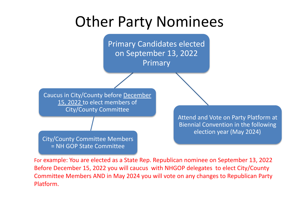#### Other Party Nominees



For example: You are elected as a State Rep. Republican nominee on September 13, 2022 Before December 15, 2022 you will caucus with NHGOP delegates to elect City/County Committee Members AND in May 2024 you will vote on any changes to Republican Party Platform.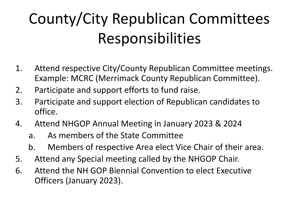## County/City Republican Committees Responsibilities

- 1. Attend respective City/County Republican Committee meetings. Example: MCRC (Merrimack County Republican Committee).
- 2. Participate and support efforts to fund raise.
- 3. Participate and support election of Republican candidates to office.
- 4. Attend NHGOP Annual Meeting in January 2023 & 2024
	- a. As members of the State Committee
	- b. Members of respective Area elect Vice Chair of their area.
- 5. Attend any Special meeting called by the NHGOP Chair.
- 6. Attend the NH GOP Biennial Convention to elect Executive Officers (January 2023).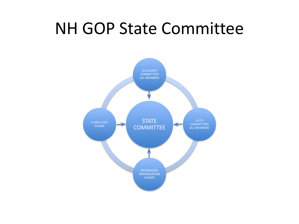#### NH GOP State Committee

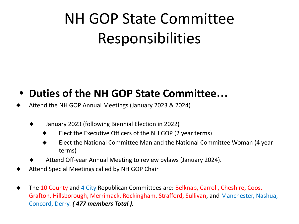## NH GOP State Committee Responsibilities

#### **• Duties of the NH GOP State Committee…**

- Attend the NH GOP Annual Meetings (January 2023 & 2024)
	- ◆ January 2023 (following Biennial Election in 2022)
		- Elect the Executive Officers of the NH GOP (2 year terms)
		- Elect the National Committee Man and the National Committee Woman (4 year terms)
	- Attend Off-year Annual Meeting to review bylaws (January 2024).
- Attend Special Meetings called by NH GOP Chair
- The 10 County and 4 City Republican Committees are: Belknap, Carroll, Cheshire, Coos, Grafton, Hillsborough, Merrimack, Rockingham, Strafford, Sullivan, and Manchester, Nashua, Concord, Derry. *( 477 members Total ).*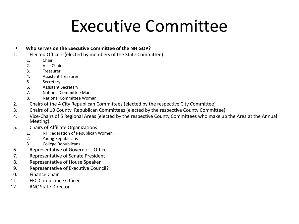## Executive Committee

#### **• Who serves on the Executive Committee of the NH GOP?**

- 1. Elected Officers (elected by members of the State Committee)
	- 1. Chair
	- 2. Vice Chair
	- 3. Treasurer
	- 4. Assistant Treasurer
	- 5. Secretary
	- 6. Assistant Secretary
	- 7. National Committee Man
	- 8. National Committee Woman
- 2. Chairs of the 4 City Republican Committees (elected by the respective City Committee)
- 3. Chairs of 10 County Republican Committees (elected by the respective County Committee)
- 4. Vice-Chairs of 5 Regional Areas (elected by the respective County Committees who make up the Area at the Annual Meeting)
- 5. Chairs of Affiliate Organizations
	- 1. NH Federation of Republican Women
	- 2. Young Republicans
	- 3. College Republicans
- 6. Representative of Governor's Office
- 7. Representative of Senate President
- 8. Representative of House Speaker
- 9. Representative of Executive Council?
- 10. Finance Chair
- 11. FEC Compliance Officer
- 12. RNC State Director